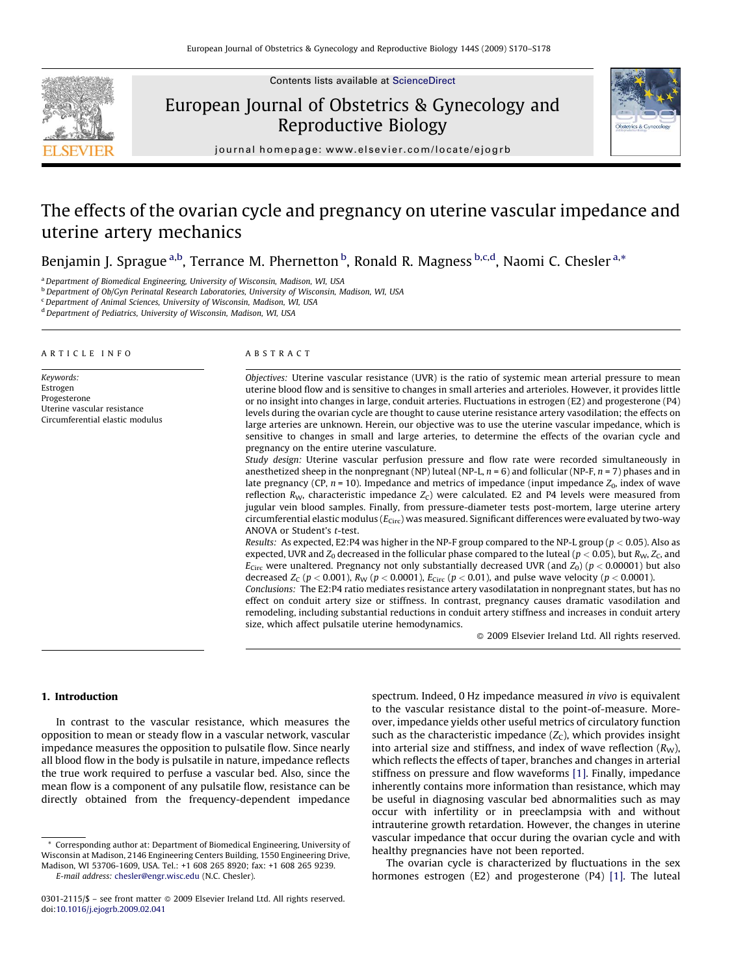

Contents lists available at [ScienceDirect](http://www.sciencedirect.com/science/journal/03012115)

# European Journal of Obstetrics & Gynecology and Reproductive Biology



journal homepage: www.elsevier.com/locate/ejogrb

# The effects of the ovarian cycle and pregnancy on uterine vascular impedance and uterine artery mechanics

Benjamin J. Sprague <sup>a,b</sup>, Terrance M. Phernetton <sup>b</sup>, Ronald R. Magness <sup>b,c,d</sup>, Naomi C. Chesler <sup>a,\*</sup>

<sup>a</sup> Department of Biomedical Engineering, University of Wisconsin, Madison, WI, USA

b<br>b Department of Ob/Gyn Perinatal Research Laboratories, University of Wisconsin, Madison, WI, USA

<sup>c</sup> Department of Animal Sciences, University of Wisconsin, Madison, WI, USA

<sup>d</sup> Department of Pediatrics, University of Wisconsin, Madison, WI, USA

#### ARTICLE INFO

Keywords: Estrogen Progesterone Uterine vascular resistance Circumferential elastic modulus

#### ABSTRACT

Objectives: Uterine vascular resistance (UVR) is the ratio of systemic mean arterial pressure to mean uterine blood flow and is sensitive to changes in small arteries and arterioles. However, it provides little or no insight into changes in large, conduit arteries. Fluctuations in estrogen (E2) and progesterone (P4) levels during the ovarian cycle are thought to cause uterine resistance artery vasodilation; the effects on large arteries are unknown. Herein, our objective was to use the uterine vascular impedance, which is sensitive to changes in small and large arteries, to determine the effects of the ovarian cycle and pregnancy on the entire uterine vasculature.

Study design: Uterine vascular perfusion pressure and flow rate were recorded simultaneously in anesthetized sheep in the nonpregnant (NP) luteal (NP-L,  $n = 6$ ) and follicular (NP-F,  $n = 7$ ) phases and in late pregnancy (CP,  $n = 10$ ). Impedance and metrics of impedance (input impedance  $Z_0$ , index of wave reflection  $R_W$ , characteristic impedance  $Z_C$ ) were calculated. E2 and P4 levels were measured from jugular vein blood samples. Finally, from pressure-diameter tests post-mortem, large uterine artery circumferential elastic modulus ( $E_{\text{Circ}}$ ) was measured. Significant differences were evaluated by two-way ANOVA or Student's t-test.

Results: As expected, E2:P4 was higher in the NP-F group compared to the NP-L group ( $p < 0.05$ ). Also as expected, UVR and  $Z_0$  decreased in the follicular phase compared to the luteal ( $p < 0.05$ ), but  $R_{\rm W}$ ,  $Z_{\rm C}$ , and  $E_{\text{Circ}}$  were unaltered. Pregnancy not only substantially decreased UVR (and  $Z_0$ ) ( $p < 0.00001$ ) but also decreased  $Z_c$  ( $p < 0.001$ ),  $R_W$  ( $p < 0.0001$ ),  $E_{\text{Circ}}$  ( $p < 0.01$ ), and pulse wave velocity ( $p < 0.0001$ ).

Conclusions: The E2:P4 ratio mediates resistance artery vasodilatation in nonpregnant states, but has no effect on conduit artery size or stiffness. In contrast, pregnancy causes dramatic vasodilation and remodeling, including substantial reductions in conduit artery stiffness and increases in conduit artery size, which affect pulsatile uterine hemodynamics.

- 2009 Elsevier Ireland Ltd. All rights reserved.

## 1. Introduction

In contrast to the vascular resistance, which measures the opposition to mean or steady flow in a vascular network, vascular impedance measures the opposition to pulsatile flow. Since nearly all blood flow in the body is pulsatile in nature, impedance reflects the true work required to perfuse a vascular bed. Also, since the mean flow is a component of any pulsatile flow, resistance can be directly obtained from the frequency-dependent impedance spectrum. Indeed, 0 Hz impedance measured in vivo is equivalent to the vascular resistance distal to the point-of-measure. Moreover, impedance yields other useful metrics of circulatory function such as the characteristic impedance  $(Z_C)$ , which provides insight into arterial size and stiffness, and index of wave reflection  $(R_W)$ , which reflects the effects of taper, branches and changes in arterial stiffness on pressure and flow waveforms [\[1\].](#page-7-0) Finally, impedance inherently contains more information than resistance, which may be useful in diagnosing vascular bed abnormalities such as may occur with infertility or in preeclampsia with and without intrauterine growth retardation. However, the changes in uterine vascular impedance that occur during the ovarian cycle and with healthy pregnancies have not been reported.

The ovarian cycle is characterized by fluctuations in the sex hormones estrogen (E2) and progesterone (P4) [\[1\]](#page-7-0). The luteal

<sup>\*</sup> Corresponding author at: Department of Biomedical Engineering, University of Wisconsin at Madison, 2146 Engineering Centers Building, 1550 Engineering Drive, Madison, WI 53706-1609, USA. Tel.: +1 608 265 8920; fax: +1 608 265 9239.

E-mail address: [chesler@engr.wisc.edu](mailto:chesler@engr.wisc.edu) (N.C. Chesler).

 $0301-2115/\$  – see front matter  $\odot$  2009 Elsevier Ireland Ltd. All rights reserved. doi:[10.1016/j.ejogrb.2009.02.041](http://dx.doi.org/10.1016/j.ejogrb.2009.02.041)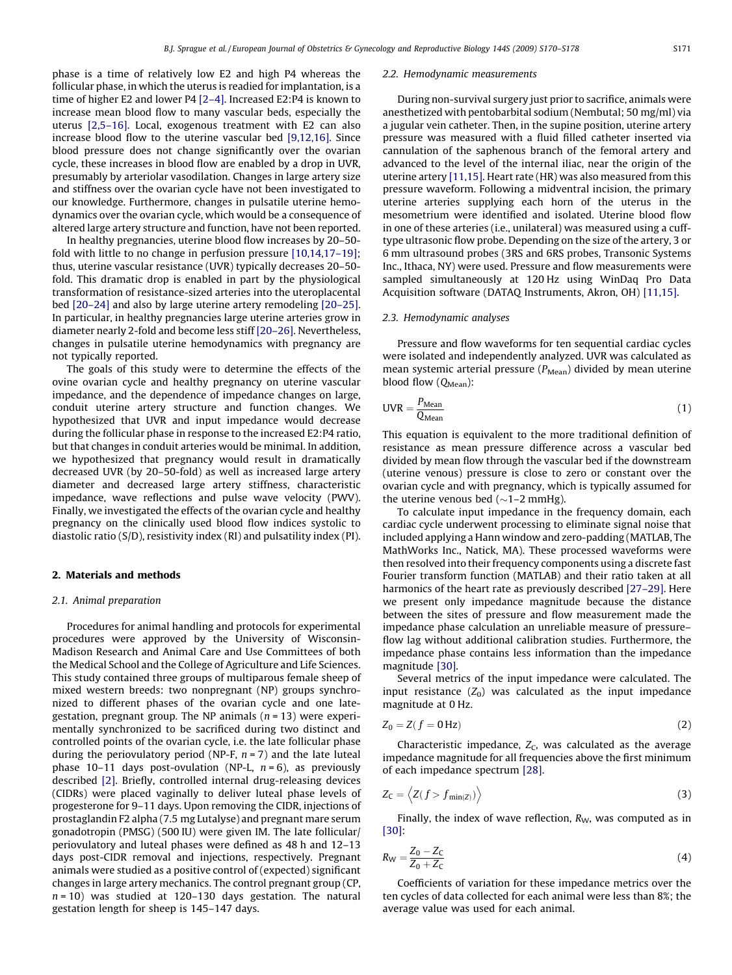phase is a time of relatively low E2 and high P4 whereas the follicular phase, in which the uterus is readied for implantation, is a time of higher E2 and lower P4 [\[2–4\]](#page-7-0). Increased E2:P4 is known to increase mean blood flow to many vascular beds, especially the uterus [\[2,5–16\].](#page-7-0) Local, exogenous treatment with E2 can also increase blood flow to the uterine vascular bed [\[9,12,16\].](#page-7-0) Since blood pressure does not change significantly over the ovarian cycle, these increases in blood flow are enabled by a drop in UVR, presumably by arteriolar vasodilation. Changes in large artery size and stiffness over the ovarian cycle have not been investigated to our knowledge. Furthermore, changes in pulsatile uterine hemodynamics over the ovarian cycle, which would be a consequence of altered large artery structure and function, have not been reported.

In healthy pregnancies, uterine blood flow increases by 20–50 fold with little to no change in perfusion pressure [\[10,14,17–19\];](#page-7-0) thus, uterine vascular resistance (UVR) typically decreases 20–50 fold. This dramatic drop is enabled in part by the physiological transformation of resistance-sized arteries into the uteroplacental bed [\[20–24\]](#page-7-0) and also by large uterine artery remodeling [\[20–25\].](#page-7-0) In particular, in healthy pregnancies large uterine arteries grow in diameter nearly 2-fold and become less stiff [\[20–26\].](#page-7-0) Nevertheless, changes in pulsatile uterine hemodynamics with pregnancy are not typically reported.

The goals of this study were to determine the effects of the ovine ovarian cycle and healthy pregnancy on uterine vascular impedance, and the dependence of impedance changes on large, conduit uterine artery structure and function changes. We hypothesized that UVR and input impedance would decrease during the follicular phase in response to the increased E2:P4 ratio, but that changes in conduit arteries would be minimal. In addition, we hypothesized that pregnancy would result in dramatically decreased UVR (by 20–50-fold) as well as increased large artery diameter and decreased large artery stiffness, characteristic impedance, wave reflections and pulse wave velocity (PWV). Finally, we investigated the effects of the ovarian cycle and healthy pregnancy on the clinically used blood flow indices systolic to diastolic ratio (S/D), resistivity index (RI) and pulsatility index (PI).

# 2. Materials and methods

## 2.1. Animal preparation

Procedures for animal handling and protocols for experimental procedures were approved by the University of Wisconsin-Madison Research and Animal Care and Use Committees of both the Medical School and the College of Agriculture and Life Sciences. This study contained three groups of multiparous female sheep of mixed western breeds: two nonpregnant (NP) groups synchronized to different phases of the ovarian cycle and one lategestation, pregnant group. The NP animals ( $n = 13$ ) were experimentally synchronized to be sacrificed during two distinct and controlled points of the ovarian cycle, i.e. the late follicular phase during the periovulatory period (NP-F,  $n = 7$ ) and the late luteal phase 10–11 days post-ovulation (NP-L,  $n = 6$ ), as previously described [\[2\].](#page-7-0) Briefly, controlled internal drug-releasing devices (CIDRs) were placed vaginally to deliver luteal phase levels of progesterone for 9–11 days. Upon removing the CIDR, injections of prostaglandin F2 alpha (7.5 mg Lutalyse) and pregnant mare serum gonadotropin (PMSG) (500 IU) were given IM. The late follicular/ periovulatory and luteal phases were defined as 48 h and 12–13 days post-CIDR removal and injections, respectively. Pregnant animals were studied as a positive control of (expected) significant changes in large artery mechanics. The control pregnant group (CP,  $n = 10$ ) was studied at 120–130 days gestation. The natural gestation length for sheep is 145–147 days.

#### 2.2. Hemodynamic measurements

During non-survival surgery just prior to sacrifice, animals were anesthetized with pentobarbital sodium (Nembutal; 50 mg/ml) via a jugular vein catheter. Then, in the supine position, uterine artery pressure was measured with a fluid filled catheter inserted via cannulation of the saphenous branch of the femoral artery and advanced to the level of the internal iliac, near the origin of the uterine artery [\[11,15\].](#page-7-0) Heart rate (HR) was also measured from this pressure waveform. Following a midventral incision, the primary uterine arteries supplying each horn of the uterus in the mesometrium were identified and isolated. Uterine blood flow in one of these arteries (i.e., unilateral) was measured using a cufftype ultrasonic flow probe. Depending on the size of the artery, 3 or 6 mm ultrasound probes (3RS and 6RS probes, Transonic Systems Inc., Ithaca, NY) were used. Pressure and flow measurements were sampled simultaneously at 120 Hz using WinDaq Pro Data Acquisition software (DATAQ Instruments, Akron, OH) [\[11,15\].](#page-7-0)

## 2.3. Hemodynamic analyses

Pressure and flow waveforms for ten sequential cardiac cycles were isolated and independently analyzed. UVR was calculated as mean systemic arterial pressure  $(P_{Mean})$  divided by mean uterine blood flow  $(Q_{Mean})$ :

$$
UVR = \frac{P_{Mean}}{Q_{Mean}} \tag{1}
$$

This equation is equivalent to the more traditional definition of resistance as mean pressure difference across a vascular bed divided by mean flow through the vascular bed if the downstream (uterine venous) pressure is close to zero or constant over the ovarian cycle and with pregnancy, which is typically assumed for the uterine venous bed ( $\sim$ 1–2 mmHg).

To calculate input impedance in the frequency domain, each cardiac cycle underwent processing to eliminate signal noise that included applying a Hann window and zero-padding (MATLAB, The MathWorks Inc., Natick, MA). These processed waveforms were then resolved into their frequency components using a discrete fast Fourier transform function (MATLAB) and their ratio taken at all harmonics of the heart rate as previously described [\[27–29\]](#page-7-0). Here we present only impedance magnitude because the distance between the sites of pressure and flow measurement made the impedance phase calculation an unreliable measure of pressureflow lag without additional calibration studies. Furthermore, the impedance phase contains less information than the impedance magnitude [\[30\]](#page-7-0).

Several metrics of the input impedance were calculated. The input resistance  $(Z_0)$  was calculated as the input impedance magnitude at 0 Hz.

$$
Z_0 = Z(f = 0 \,\text{Hz})\tag{2}
$$

Characteristic impedance,  $Z_C$ , was calculated as the average impedance magnitude for all frequencies above the first minimum of each impedance spectrum [\[28\]](#page-7-0).

$$
Z_{\rm C} = \langle Z(f > f_{\rm min(Z)}) \rangle \tag{3}
$$

Finally, the index of wave reflection,  $R_W$ , was computed as in [\[30\]](#page-7-0):

$$
R_{\rm W} = \frac{Z_0 - Z_{\rm C}}{Z_0 + Z_{\rm C}}\tag{4}
$$

Coefficients of variation for these impedance metrics over the ten cycles of data collected for each animal were less than 8%; the average value was used for each animal.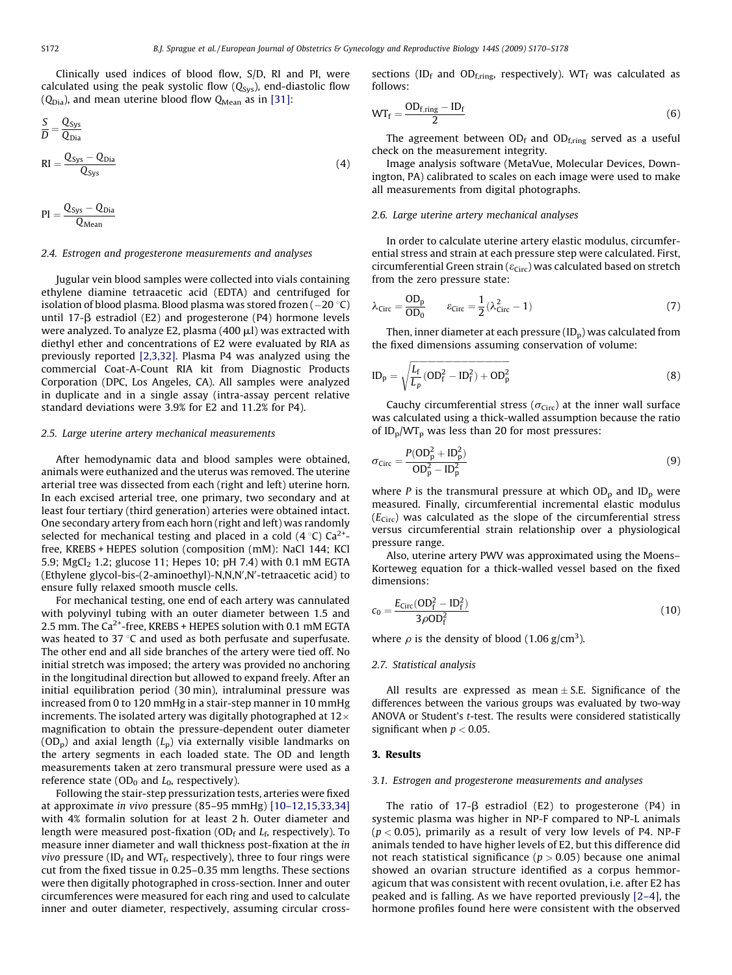Clinically used indices of blood flow, S/D, RI and PI, were calculated using the peak systolic flow  $(Q_{sys})$ , end-diastolic flow  $(Q_{Dia})$ , and mean uterine blood flow  $Q_{Mean}$  as in [\[31\]](#page-7-0):

$$
\frac{S}{D} = \frac{Q_{\text{sys}}}{Q_{\text{Dia}}} \n\text{RI} = \frac{Q_{\text{sys}} - Q_{\text{Dia}}}{Q_{\text{Sys}}} \tag{4}
$$

$$
PI = \frac{Q_{Sys} - Q_{ Dia}}{Q_{Mean}}
$$

#### 2.4. Estrogen and progesterone measurements and analyses

Jugular vein blood samples were collected into vials containing ethylene diamine tetraacetic acid (EDTA) and centrifuged for isolation of blood plasma. Blood plasma was stored frozen  $(-20 \degree C)$ until 17- $\beta$  estradiol (E2) and progesterone (P4) hormone levels were analyzed. To analyze E2, plasma  $(400 \mu l)$  was extracted with diethyl ether and concentrations of E2 were evaluated by RIA as previously reported [\[2,3,32\].](#page-7-0) Plasma P4 was analyzed using the commercial Coat-A-Count RIA kit from Diagnostic Products Corporation (DPC, Los Angeles, CA). All samples were analyzed in duplicate and in a single assay (intra-assay percent relative standard deviations were 3.9% for E2 and 11.2% for P4).

## 2.5. Large uterine artery mechanical measurements

After hemodynamic data and blood samples were obtained, animals were euthanized and the uterus was removed. The uterine arterial tree was dissected from each (right and left) uterine horn. In each excised arterial tree, one primary, two secondary and at least four tertiary (third generation) arteries were obtained intact. One secondary artery from each horn (right and left) was randomly selected for mechanical testing and placed in a cold  $(4 \degree C)$  Ca<sup>2+</sup>free, KREBS + HEPES solution (composition (mM): NaCl 144; KCl 5.9; MgCl<sub>2</sub> 1.2; glucose 11; Hepes 10; pH 7.4) with 0.1 mM EGTA (Ethylene glycol-bis-(2-aminoethyl)-N,N,N',N'-tetraacetic acid) to ensure fully relaxed smooth muscle cells.

For mechanical testing, one end of each artery was cannulated with polyvinyl tubing with an outer diameter between 1.5 and 2.5 mm. The  $Ca^{2+}$ -free, KREBS + HEPES solution with 0.1 mM EGTA was heated to 37 $\degree$ C and used as both perfusate and superfusate. The other end and all side branches of the artery were tied off. No initial stretch was imposed; the artery was provided no anchoring in the longitudinal direction but allowed to expand freely. After an initial equilibration period (30 min), intraluminal pressure was increased from 0 to 120 mmHg in a stair-step manner in 10 mmHg increments. The isolated artery was digitally photographed at  $12\times$ magnification to obtain the pressure-dependent outer diameter  $(OD<sub>p</sub>)$  and axial length  $(L<sub>p</sub>)$  via externally visible landmarks on the artery segments in each loaded state. The OD and length measurements taken at zero transmural pressure were used as a reference state ( $OD<sub>0</sub>$  and  $L<sub>0</sub>$ , respectively).

Following the stair-step pressurization tests, arteries were fixed at approximate in vivo pressure (85–95 mmHg) [\[10–12,15,33,34\]](#page-7-0) with 4% formalin solution for at least 2 h. Outer diameter and length were measured post-fixation ( $OD<sub>f</sub>$  and  $L<sub>f</sub>$ , respectively). To measure inner diameter and wall thickness post-fixation at the in vivo pressure (ID $_f$  and WT $_f$ , respectively), three to four rings were cut from the fixed tissue in 0.25–0.35 mm lengths. These sections were then digitally photographed in cross-section. Inner and outer circumferences were measured for each ring and used to calculate inner and outer diameter, respectively, assuming circular crosssections (ID<sub>f</sub> and OD<sub>f,ring</sub>, respectively). WT<sub>f</sub> was calculated as follows:

$$
WT_f = \frac{OD_{f,ring} - ID_f}{2}
$$
 (6)

The agreement between  $OD_f$  and  $OD_{f,ring}$  served as a useful check on the measurement integrity.

Image analysis software (MetaVue, Molecular Devices, Downington, PA) calibrated to scales on each image were used to make all measurements from digital photographs.

# 2.6. Large uterine artery mechanical analyses

In order to calculate uterine artery elastic modulus, circumferential stress and strain at each pressure step were calculated. First, circumferential Green strain ( $\varepsilon_{\rm Circ}$ ) was calculated based on stretch from the zero pressure state:

$$
\lambda_{\text{Circ}} = \frac{\text{OD}_{\text{p}}}{\text{OD}_{\text{0}}} \qquad \varepsilon_{\text{Circ}} = \frac{1}{2} (\lambda_{\text{Circ}}^2 - 1) \tag{7}
$$

Then, inner diameter at each pressure  $(ID_p)$  was calculated from the fixed dimensions assuming conservation of volume:

$$
ID_p = \sqrt{\frac{L_f}{L_p}(OD_f^2 - ID_f^2) + OD_p^2}
$$
 (8)

Cauchy circumferential stress ( $\sigma_{\text{Circ}}$ ) at the inner wall surface was calculated using a thick-walled assumption because the ratio of  $ID_{p}/WT_{p}$  was less than 20 for most pressures:

$$
\sigma_{\text{Circ}} = \frac{P(\text{OD}_p^2 + \text{ID}_p^2)}{\text{OD}_p^2 - \text{ID}_p^2} \tag{9}
$$

where P is the transmural pressure at which  $OD<sub>p</sub>$  and  $ID<sub>p</sub>$  were measured. Finally, circumferential incremental elastic modulus  $(E_{\text{Circ}})$  was calculated as the slope of the circumferential stress versus circumferential strain relationship over a physiological pressure range.

Also, uterine artery PWV was approximated using the Moens– Korteweg equation for a thick-walled vessel based on the fixed dimensions:

$$
c_0 = \frac{E_{\text{Circ}}(OD_f^2 - ID_f^2)}{3\rho OD_f^2}
$$
\n(10)

where  $\rho$  is the density of blood (1.06 g/cm<sup>3</sup>).

#### 2.7. Statistical analysis

All results are expressed as mean  $\pm$  S.E. Significance of the differences between the various groups was evaluated by two-way ANOVA or Student's t-test. The results were considered statistically significant when  $p < 0.05$ .

#### 3. Results

## 3.1. Estrogen and progesterone measurements and analyses

The ratio of 17- $\beta$  estradiol (E2) to progesterone (P4) in systemic plasma was higher in NP-F compared to NP-L animals  $(p < 0.05)$ , primarily as a result of very low levels of P4. NP-F animals tended to have higher levels of E2, but this difference did not reach statistical significance ( $p > 0.05$ ) because one animal showed an ovarian structure identified as a corpus hemmoragicum that was consistent with recent ovulation, i.e. after E2 has peaked and is falling. As we have reported previously [\[2–4\],](#page-7-0) the hormone profiles found here were consistent with the observed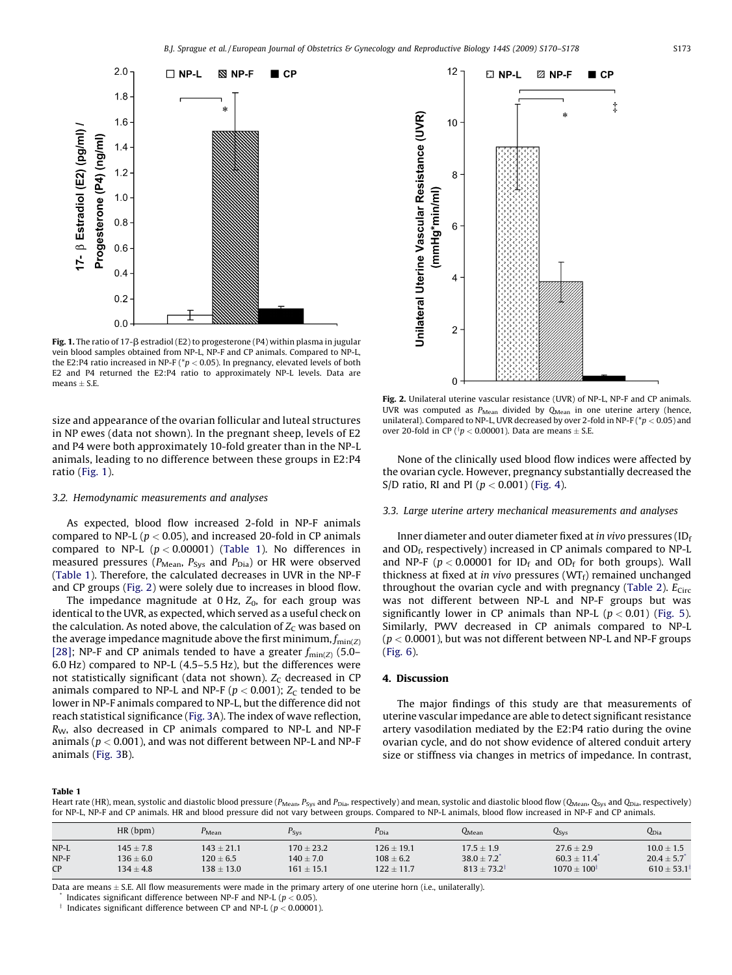

Fig. 1. The ratio of 17- $\beta$  estradiol (E2) to progesterone (P4) within plasma in jugular vein blood samples obtained from NP-L, NP-F and CP animals. Compared to NP-L, the E2:P4 ratio increased in NP-F ( $p$  < 0.05). In pregnancy, elevated levels of both E2 and P4 returned the E2:P4 ratio to approximately NP-L levels. Data are  $means + S.E.$ 

size and appearance of the ovarian follicular and luteal structures in NP ewes (data not shown). In the pregnant sheep, levels of E2 and P4 were both approximately 10-fold greater than in the NP-L animals, leading to no difference between these groups in E2:P4 ratio (Fig. 1).

## 3.2. Hemodynamic measurements and analyses

As expected, blood flow increased 2-fold in NP-F animals compared to NP-L ( $p < 0.05$ ), and increased 20-fold in CP animals compared to NP-L  $(p < 0.00001)$  (Table 1). No differences in measured pressures ( $P_{\text{Mean}}$ ,  $P_{\text{Sys}}$  and  $P_{\text{Dia}}$ ) or HR were observed (Table 1). Therefore, the calculated decreases in UVR in the NP-F and CP groups (Fig. 2) were solely due to increases in blood flow.

The impedance magnitude at  $0$  Hz,  $Z_0$ , for each group was identical to the UVR, as expected, which served as a useful check on the calculation. As noted above, the calculation of  $Z_c$  was based on the average impedance magnitude above the first minimum,  $f_{\text{min}(Z)}$ [\[28\]](#page-7-0); NP-F and CP animals tended to have a greater  $f_{\text{min}(Z)}$  (5.0– 6.0 Hz) compared to NP-L (4.5–5.5 Hz), but the differences were not statistically significant (data not shown).  $Z_c$  decreased in CP animals compared to NP-L and NP-F ( $p < 0.001$ );  $Z_C$  tended to be lower in NP-F animals compared to NP-L, but the difference did not reach statistical significance ([Fig. 3](#page-4-0)A). The index of wave reflection, RW, also decreased in CP animals compared to NP-L and NP-F animals ( $p < 0.001$ ), and was not different between NP-L and NP-F animals [\(Fig. 3](#page-4-0)B).



Fig. 2. Unilateral uterine vascular resistance (UVR) of NP-L, NP-F and CP animals. UVR was computed as  $P_{Mean}$  divided by  $Q_{Mean}$  in one uterine artery (hence, unilateral). Compared to NP-L, UVR decreased by over 2-fold in NP-F ( $p < 0.05$ ) and over 20-fold in CP ( $\frac{4}{3}p < 0.00001$ ). Data are means  $\pm$  S.E.

None of the clinically used blood flow indices were affected by the ovarian cycle. However, pregnancy substantially decreased the S/D ratio, RI and PI ( $p < 0.001$ ) [\(Fig. 4](#page-5-0)).

# 3.3. Large uterine artery mechanical measurements and analyses

Inner diameter and outer diameter fixed at in vivo pressures (ID $_f$ and  $OD<sub>f</sub>$ , respectively) increased in CP animals compared to NP-L and NP-F ( $p < 0.00001$  for ID<sub>f</sub> and OD<sub>f</sub> for both groups). Wall thickness at fixed at in vivo pressures ( $WT_f$ ) remained unchanged throughout the ovarian cycle and with pregnancy ([Table 2](#page-5-0)).  $E_{\text{Circ}}$ was not different between NP-L and NP-F groups but was significantly lower in CP animals than NP-L ( $p < 0.01$ ) ([Fig. 5\)](#page-5-0). Similarly, PWV decreased in CP animals compared to NP-L  $(p < 0.0001)$ , but was not different between NP-L and NP-F groups ([Fig. 6](#page-6-0)).

## 4. Discussion

The major findings of this study are that measurements of uterine vascular impedance are able to detect significant resistance artery vasodilation mediated by the E2:P4 ratio during the ovine ovarian cycle, and do not show evidence of altered conduit artery size or stiffness via changes in metrics of impedance. In contrast,

#### Table 1

Heart rate (HR), mean, systolic and diastolic blood pressure ( $P<sub>Mean</sub>, P<sub>Sys</sub>$  and  $P<sub>bias</sub>$ , respectively) and mean, systolic and diastolic blood flow ( $Q<sub>Mean</sub>, Q<sub>sys</sub>$  and  $Q<sub>Dia</sub>$ , respectively) for NP-L, NP-F and CP animals. HR and blood pressure did not vary between groups. Compared to NP-L animals, blood flow increased in NP-F and CP animals.

|        | HR(bpm)       | $P_{\text{Mean}}$ | $P_{\text{Sys}}$ | $P_{\rm Dia}$  | $Q_{Mean}$                | $Q_{SVS}$                 | Q <sub>Dia</sub>          |
|--------|---------------|-------------------|------------------|----------------|---------------------------|---------------------------|---------------------------|
| $NP-L$ | $145 + 7.8$   | $143 \pm 21.1$    | $170 \pm 23.2$   | $126 \pm 19.1$ | $17.5 \pm 1.9$            | $27.6 \pm 2.9$            | $10.0 \pm 1.5$            |
| $NP-F$ | $136 \pm 6.0$ | $120 \pm 6.5$     | $140 \pm 7.0$    | $108 \pm 6.2$  | $38.0 \pm 7.2$            | $60.3 \pm 11.4$           | $20.4 \pm 5.7$            |
| CP     | $134 \pm 4.8$ | $138 \pm 13.0$    | $161 \pm 15.1$   | $122 \pm 11.7$ | $813 \pm 73.2^{\ddagger}$ | $1070 \pm 100^{\ddagger}$ | $610 \pm 53.1^{\ddagger}$ |

Data are means  $\pm$  S.E. All flow measurements were made in the primary artery of one uterine horn (i.e., unilaterally).

Indicates significant difference between NP-F and NP-L ( $p < 0.05$ ).

Indicates significant difference between CP and NP-L ( $p < 0.00001$ ).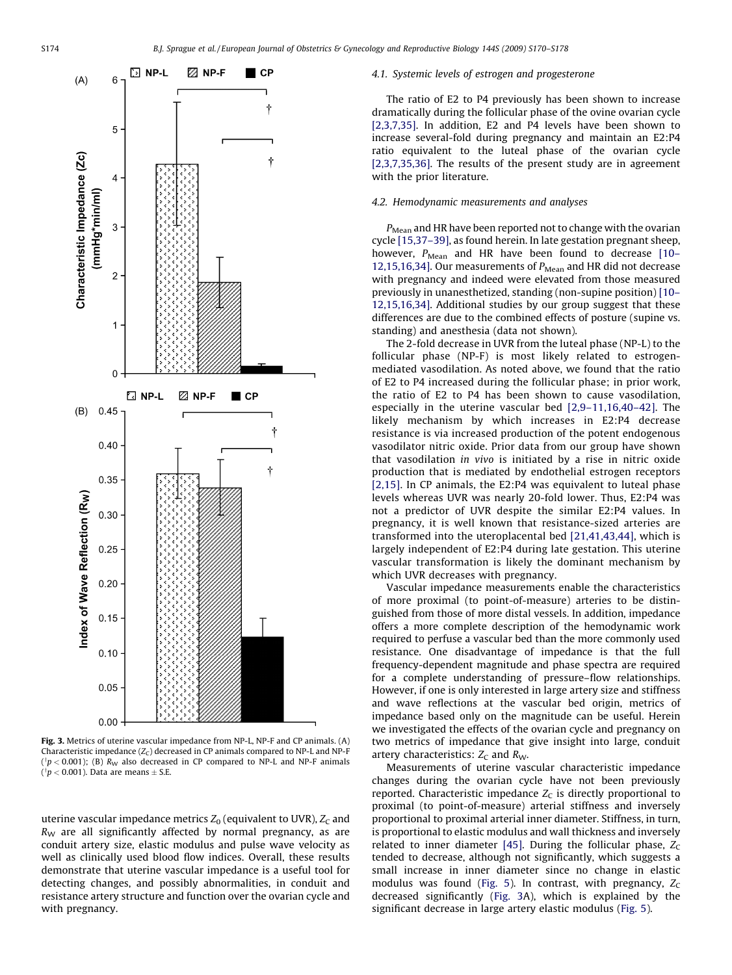<span id="page-4-0"></span>

Fig. 3. Metrics of uterine vascular impedance from NP-L, NP-F and CP animals. (A) Characteristic impedance  $(Z_C)$  decreased in CP animals compared to NP-L and NP-F ( $\phi$  = 0.001); (B)  $R_W$  also decreased in CP compared to NP-L and NP-F animals ( $\phi$  < 0.001). Data are means  $\pm$  S.E.

uterine vascular impedance metrics  $Z_0$  (equivalent to UVR),  $Z_C$  and  $R_W$  are all significantly affected by normal pregnancy, as are conduit artery size, elastic modulus and pulse wave velocity as well as clinically used blood flow indices. Overall, these results demonstrate that uterine vascular impedance is a useful tool for detecting changes, and possibly abnormalities, in conduit and resistance artery structure and function over the ovarian cycle and with pregnancy.

## 4.1. Systemic levels of estrogen and progesterone

The ratio of E2 to P4 previously has been shown to increase dramatically during the follicular phase of the ovine ovarian cycle [\[2,3,7,35\].](#page-7-0) In addition, E2 and P4 levels have been shown to increase several-fold during pregnancy and maintain an E2:P4 ratio equivalent to the luteal phase of the ovarian cycle [\[2,3,7,35,36\]](#page-7-0). The results of the present study are in agreement with the prior literature.

## 4.2. Hemodynamic measurements and analyses

 $P_{Mean}$  and HR have been reported not to change with the ovarian cycle [\[15,37–39\]](#page-7-0), as found herein. In late gestation pregnant sheep, however,  $P_{\text{Mean}}$  and HR have been found to decrease [\[10–](#page-7-0) [12,15,16,34\]](#page-7-0). Our measurements of  $P_{Mean}$  and HR did not decrease with pregnancy and indeed were elevated from those measured previously in unanesthetized, standing (non-supine position) [\[10–](#page-7-0) [12,15,16,34\]](#page-7-0). Additional studies by our group suggest that these differences are due to the combined effects of posture (supine vs. standing) and anesthesia (data not shown).

The 2-fold decrease in UVR from the luteal phase (NP-L) to the follicular phase (NP-F) is most likely related to estrogenmediated vasodilation. As noted above, we found that the ratio of E2 to P4 increased during the follicular phase; in prior work, the ratio of E2 to P4 has been shown to cause vasodilation, especially in the uterine vascular bed [\[2,9–11,16,40–42\]](#page-7-0). The likely mechanism by which increases in E2:P4 decrease resistance is via increased production of the potent endogenous vasodilator nitric oxide. Prior data from our group have shown that vasodilation in vivo is initiated by a rise in nitric oxide production that is mediated by endothelial estrogen receptors [\[2,15\].](#page-7-0) In CP animals, the E2:P4 was equivalent to luteal phase levels whereas UVR was nearly 20-fold lower. Thus, E2:P4 was not a predictor of UVR despite the similar E2:P4 values. In pregnancy, it is well known that resistance-sized arteries are transformed into the uteroplacental bed [\[21,41,43,44\],](#page-7-0) which is largely independent of E2:P4 during late gestation. This uterine vascular transformation is likely the dominant mechanism by which UVR decreases with pregnancy.

Vascular impedance measurements enable the characteristics of more proximal (to point-of-measure) arteries to be distinguished from those of more distal vessels. In addition, impedance offers a more complete description of the hemodynamic work required to perfuse a vascular bed than the more commonly used resistance. One disadvantage of impedance is that the full frequency-dependent magnitude and phase spectra are required for a complete understanding of pressure–flow relationships. However, if one is only interested in large artery size and stiffness and wave reflections at the vascular bed origin, metrics of impedance based only on the magnitude can be useful. Herein we investigated the effects of the ovarian cycle and pregnancy on two metrics of impedance that give insight into large, conduit artery characteristics:  $Z_C$  and  $R_W$ .

Measurements of uterine vascular characteristic impedance changes during the ovarian cycle have not been previously reported. Characteristic impedance  $Z_c$  is directly proportional to proximal (to point-of-measure) arterial stiffness and inversely proportional to proximal arterial inner diameter. Stiffness, in turn, is proportional to elastic modulus and wall thickness and inversely related to inner diameter [\[45\].](#page-7-0) During the follicular phase,  $Z_c$ tended to decrease, although not significantly, which suggests a small increase in inner diameter since no change in elastic modulus was found ([Fig. 5\)](#page-5-0). In contrast, with pregnancy,  $Z_C$ decreased significantly (Fig. 3A), which is explained by the significant decrease in large artery elastic modulus [\(Fig. 5](#page-5-0)).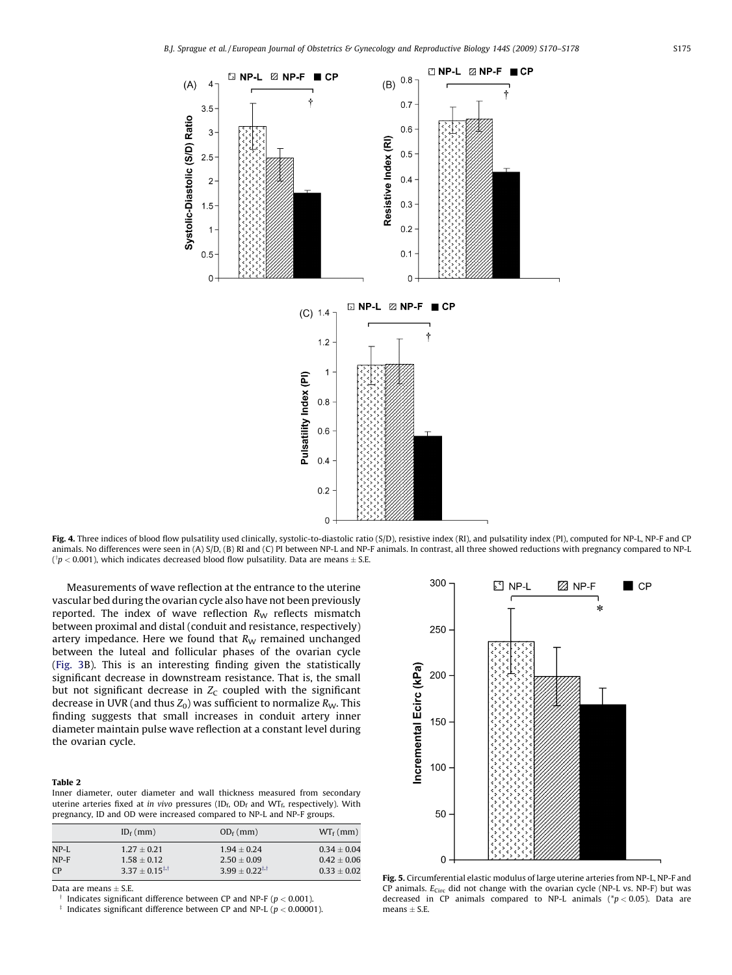<span id="page-5-0"></span>

Fig. 4. Three indices of blood flow pulsatility used clinically, systolic-to-diastolic ratio (S/D), resistive index (RI), and pulsatility index (PI), computed for NP-L, NP-F and CP animals. No differences were seen in (A) S/D, (B) RI and (C) PI between NP-L and NP-F animals. In contrast, all three showed reductions with pregnancy compared to NP-L ( $\phi$   $p$  < 0.001), which indicates decreased blood flow pulsatility. Data are means  $\pm$  S.E.

Measurements of wave reflection at the entrance to the uterine vascular bed during the ovarian cycle also have not been previously reported. The index of wave reflection  $R_W$  reflects mismatch between proximal and distal (conduit and resistance, respectively) artery impedance. Here we found that  $R_W$  remained unchanged between the luteal and follicular phases of the ovarian cycle ([Fig. 3](#page-4-0)B). This is an interesting finding given the statistically significant decrease in downstream resistance. That is, the small but not significant decrease in  $Z_c$  coupled with the significant decrease in UVR (and thus  $Z_0$ ) was sufficient to normalize  $R_W$ . This finding suggests that small increases in conduit artery inner diameter maintain pulse wave reflection at a constant level during the ovarian cycle.

#### Table 2

Inner diameter, outer diameter and wall thickness measured from secondary uterine arteries fixed at in vivo pressures (ID $_f$ , OD $_f$  and WT $_f$ , respectively). With pregnancy, ID and OD were increased compared to NP-L and NP-F groups.

|      | $ID_f$ (mm)         | $OD_f$ (mm)         | $WT_f$ (mm)     |
|------|---------------------|---------------------|-----------------|
| NP-L | $1.27 + 0.21$       | $1.94 + 0.24$       | $0.34 + 0.04$   |
| NP-F | $1.58 \pm 0.12$     | $2.50 + 0.09$       | $0.42 \pm 0.06$ |
| CP   | $3.37 + 0.15^{1.1}$ | $3.99 + 0.22^{1.1}$ | $0.33 \pm 0.02$ |

Data are means  $+$  S.E.

Indicates significant difference between CP and NP-F ( $p < 0.001$ ).

Indicates significant difference between CP and NP-L ( $p < 0.00001$ ).



Fig. 5. Circumferential elastic modulus of large uterine arteries from NP-L, NP-F and CP animals.  $E_{\text{Circ}}$  did not change with the ovarian cycle (NP-L vs. NP-F) but was decreased in CP animals compared to NP-L animals ( $p < 0.05$ ). Data are means  $\pm$  S.E.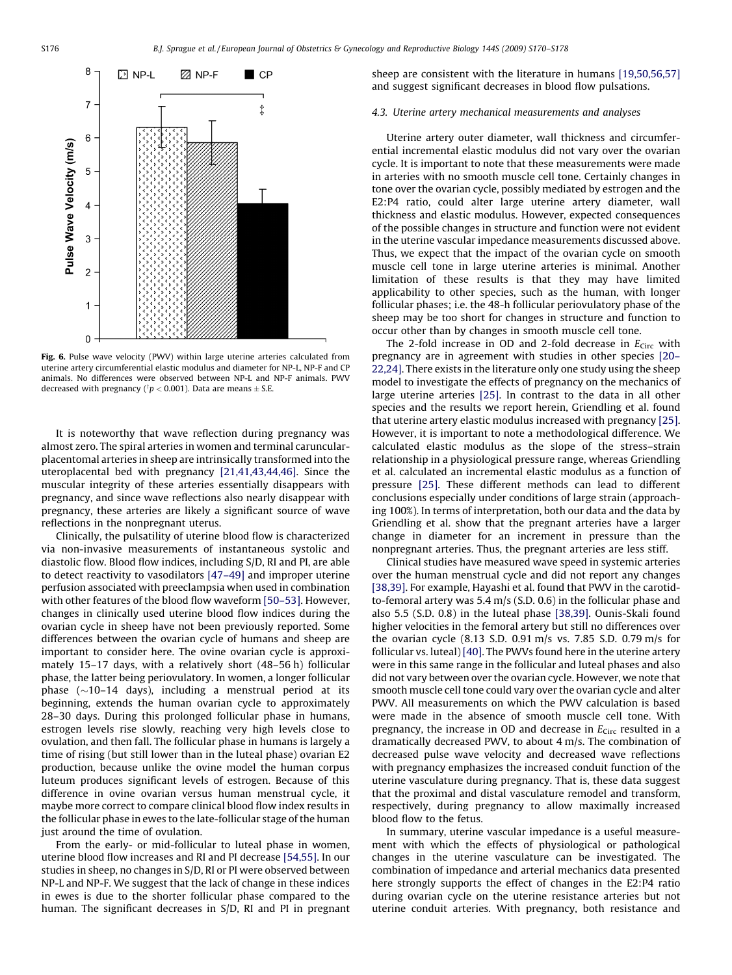<span id="page-6-0"></span>

Fig. 6. Pulse wave velocity (PWV) within large uterine arteries calculated from uterine artery circumferential elastic modulus and diameter for NP-L, NP-F and CP animals. No differences were observed between NP-L and NP-F animals. PWV decreased with pregnancy ( $\frac{1}{p}$  < 0.001). Data are means  $\pm$  S.E.

It is noteworthy that wave reflection during pregnancy was almost zero. The spiral arteries in women and terminal caruncularplacentomal arteries in sheep are intrinsically transformed into the uteroplacental bed with pregnancy [\[21,41,43,44,46\]](#page-7-0). Since the muscular integrity of these arteries essentially disappears with pregnancy, and since wave reflections also nearly disappear with pregnancy, these arteries are likely a significant source of wave reflections in the nonpregnant uterus.

Clinically, the pulsatility of uterine blood flow is characterized via non-invasive measurements of instantaneous systolic and diastolic flow. Blood flow indices, including S/D, RI and PI, are able to detect reactivity to vasodilators [\[47–49\]](#page-7-0) and improper uterine perfusion associated with preeclampsia when used in combination with other features of the blood flow waveform [\[50–53\].](#page-8-0) However, changes in clinically used uterine blood flow indices during the ovarian cycle in sheep have not been previously reported. Some differences between the ovarian cycle of humans and sheep are important to consider here. The ovine ovarian cycle is approximately 15–17 days, with a relatively short (48–56 h) follicular phase, the latter being periovulatory. In women, a longer follicular phase ( $\sim$ 10–14 days), including a menstrual period at its beginning, extends the human ovarian cycle to approximately 28–30 days. During this prolonged follicular phase in humans, estrogen levels rise slowly, reaching very high levels close to ovulation, and then fall. The follicular phase in humans is largely a time of rising (but still lower than in the luteal phase) ovarian E2 production, because unlike the ovine model the human corpus luteum produces significant levels of estrogen. Because of this difference in ovine ovarian versus human menstrual cycle, it maybe more correct to compare clinical blood flow index results in the follicular phase in ewes to the late-follicular stage of the human just around the time of ovulation.

From the early- or mid-follicular to luteal phase in women, uterine blood flow increases and RI and PI decrease [\[54,55\].](#page-8-0) In our studies in sheep, no changes in S/D, RI or PI were observed between NP-L and NP-F. We suggest that the lack of change in these indices in ewes is due to the shorter follicular phase compared to the human. The significant decreases in S/D, RI and PI in pregnant sheep are consistent with the literature in humans [\[19,50,56,57\]](#page-7-0) and suggest significant decreases in blood flow pulsations.

# 4.3. Uterine artery mechanical measurements and analyses

Uterine artery outer diameter, wall thickness and circumferential incremental elastic modulus did not vary over the ovarian cycle. It is important to note that these measurements were made in arteries with no smooth muscle cell tone. Certainly changes in tone over the ovarian cycle, possibly mediated by estrogen and the E2:P4 ratio, could alter large uterine artery diameter, wall thickness and elastic modulus. However, expected consequences of the possible changes in structure and function were not evident in the uterine vascular impedance measurements discussed above. Thus, we expect that the impact of the ovarian cycle on smooth muscle cell tone in large uterine arteries is minimal. Another limitation of these results is that they may have limited applicability to other species, such as the human, with longer follicular phases; i.e. the 48-h follicular periovulatory phase of the sheep may be too short for changes in structure and function to occur other than by changes in smooth muscle cell tone.

The 2-fold increase in OD and 2-fold decrease in  $E_{\text{Circ}}$  with pregnancy are in agreement with studies in other species [\[20–](#page-7-0) [22,24\].](#page-7-0) There exists in the literature only one study using the sheep model to investigate the effects of pregnancy on the mechanics of large uterine arteries [\[25\]](#page-7-0). In contrast to the data in all other species and the results we report herein, Griendling et al. found that uterine artery elastic modulus increased with pregnancy [\[25\].](#page-7-0) However, it is important to note a methodological difference. We calculated elastic modulus as the slope of the stress–strain relationship in a physiological pressure range, whereas Griendling et al. calculated an incremental elastic modulus as a function of pressure [\[25\]](#page-7-0). These different methods can lead to different conclusions especially under conditions of large strain (approaching 100%). In terms of interpretation, both our data and the data by Griendling et al. show that the pregnant arteries have a larger change in diameter for an increment in pressure than the nonpregnant arteries. Thus, the pregnant arteries are less stiff.

Clinical studies have measured wave speed in systemic arteries over the human menstrual cycle and did not report any changes [\[38,39\].](#page-7-0) For example, Hayashi et al. found that PWV in the carotidto-femoral artery was 5.4 m/s (S.D. 0.6) in the follicular phase and also 5.5 (S.D. 0.8) in the luteal phase [\[38,39\]](#page-7-0). Ounis-Skali found higher velocities in the femoral artery but still no differences over the ovarian cycle (8.13 S.D. 0.91 m/s vs. 7.85 S.D. 0.79 m/s for follicular vs. luteal) [\[40\]](#page-7-0). The PWVs found here in the uterine artery were in this same range in the follicular and luteal phases and also did not vary between over the ovarian cycle. However, we note that smooth muscle cell tone could vary over the ovarian cycle and alter PWV. All measurements on which the PWV calculation is based were made in the absence of smooth muscle cell tone. With pregnancy, the increase in OD and decrease in  $E<sub>Circ</sub>$  resulted in a dramatically decreased PWV, to about 4 m/s. The combination of decreased pulse wave velocity and decreased wave reflections with pregnancy emphasizes the increased conduit function of the uterine vasculature during pregnancy. That is, these data suggest that the proximal and distal vasculature remodel and transform, respectively, during pregnancy to allow maximally increased blood flow to the fetus.

In summary, uterine vascular impedance is a useful measurement with which the effects of physiological or pathological changes in the uterine vasculature can be investigated. The combination of impedance and arterial mechanics data presented here strongly supports the effect of changes in the E2:P4 ratio during ovarian cycle on the uterine resistance arteries but not uterine conduit arteries. With pregnancy, both resistance and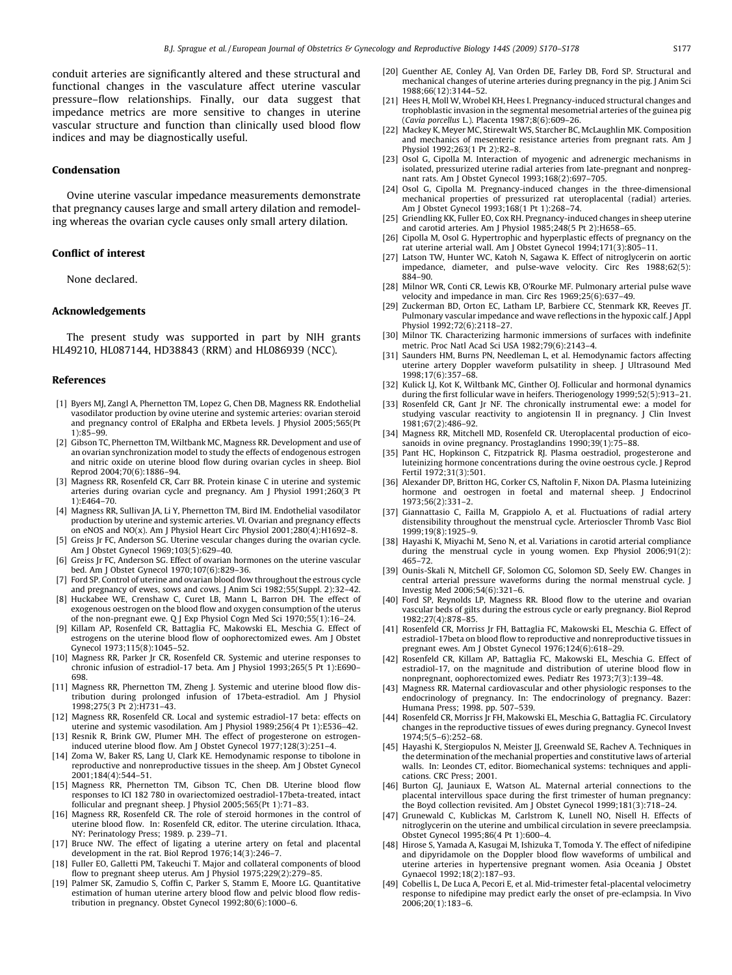<span id="page-7-0"></span>conduit arteries are significantly altered and these structural and functional changes in the vasculature affect uterine vascular pressure–flow relationships. Finally, our data suggest that impedance metrics are more sensitive to changes in uterine vascular structure and function than clinically used blood flow indices and may be diagnostically useful.

# Condensation

Ovine uterine vascular impedance measurements demonstrate that pregnancy causes large and small artery dilation and remodeling whereas the ovarian cycle causes only small artery dilation.

# Conflict of interest

None declared.

## Acknowledgements

The present study was supported in part by NIH grants HL49210, HL087144, HD38843 (RRM) and HL086939 (NCC).

#### References

- [1] Byers MJ, Zangl A, Phernetton TM, Lopez G, Chen DB, Magness RR. Endothelial vasodilator production by ovine uterine and systemic arteries: ovarian steroid and pregnancy control of ERalpha and ERbeta levels. J Physiol 2005;565(Pt 1):85–99.
- [2] Gibson TC, Phernetton TM, Wiltbank MC, Magness RR. Development and use of an ovarian synchronization model to study the effects of endogenous estrogen and nitric oxide on uterine blood flow during ovarian cycles in sheep. Biol Reprod 2004;70(6):1886–94.
- [3] Magness RR, Rosenfeld CR, Carr BR. Protein kinase C in uterine and systemic arteries during ovarian cycle and pregnancy. Am J Physiol 1991;260(3 Pt 1):E464–70.
- [4] Magness RR, Sullivan JA, Li Y, Phernetton TM, Bird IM. Endothelial vasodilator production by uterine and systemic arteries. VI. Ovarian and pregnancy effects on eNOS and NO(x). Am J Physiol Heart Circ Physiol 2001;280(4):H1692–8.
- [5] Greiss Jr FC, Anderson SG. Uterine vescular changes during the ovarian cycle. Am J Obstet Gynecol 1969;103(5):629–40.
- [6] Greiss Jr FC, Anderson SG. Effect of ovarian hormones on the uterine vascular bed. Am J Obstet Gynecol 1970;107(6):829–36.
- [7] Ford SP. Control of uterine and ovarian blood flow throughout the estrous cycle and pregnancy of ewes, sows and cows. J Anim Sci 1982;55(Suppl. 2):32–42.
- [8] Huckabee WE, Crenshaw C, Curet LB, Mann L, Barron DH. The effect of exogenous oestrogen on the blood flow and oxygen consumption of the uterus of the non-pregnant ewe. Q J Exp Physiol Cogn Med Sci 1970;55(1):16–24.
- [9] Killam AP, Rosenfeld CR, Battaglia FC, Makowski EL, Meschia G. Effect of estrogens on the uterine blood flow of oophorectomized ewes. Am J Obstet Gynecol 1973;115(8):1045–52.
- [10] Magness RR, Parker Jr CR, Rosenfeld CR. Systemic and uterine responses to chronic infusion of estradiol-17 beta. Am J Physiol 1993;265(5 Pt 1):E690– 698.
- [11] Magness RR, Phernetton TM, Zheng J. Systemic and uterine blood flow distribution during prolonged infusion of 17beta-estradiol. Am J Physiol 1998;275(3 Pt 2):H731–43.
- [12] Magness RR, Rosenfeld CR. Local and systemic estradiol-17 beta: effects on uterine and systemic vasodilation. Am J Physiol 1989;256(4 Pt 1):E536–42.
- [13] Resnik R, Brink GW, Plumer MH. The effect of progesterone on estrogeninduced uterine blood flow. Am J Obstet Gynecol 1977;128(3):251–4.
- [14] Zoma W, Baker RS, Lang U, Clark KE. Hemodynamic response to tibolone in reproductive and nonreproductive tissues in the sheep. Am J Obstet Gynecol 2001;184(4):544–51.
- [15] Magness RR, Phernetton TM, Gibson TC, Chen DB. Uterine blood flow responses to ICI 182 780 in ovariectomized oestradiol-17beta-treated, intact follicular and pregnant sheep. J Physiol 2005;565(Pt 1):71–83.
- [16] Magness RR, Rosenfeld CR. The role of steroid hormones in the control of uterine blood flow. In: Rosenfeld CR, editor. The uterine circulation. Ithaca, NY: Perinatology Press; 1989. p. 239–71.
- [17] Bruce NW. The effect of ligating a uterine artery on fetal and placental development in the rat. Biol Reprod 1976;14(3):246–7.
- [18] Fuller EO, Galletti PM, Takeuchi T. Major and collateral components of blood flow to pregnant sheep uterus. Am J Physiol 1975;229(2):279–85.
- [19] Palmer SK, Zamudio S, Coffin C, Parker S, Stamm E, Moore LG. Quantitative estimation of human uterine artery blood flow and pelvic blood flow redistribution in pregnancy. Obstet Gynecol 1992;80(6):1000–6.
- [20] Guenther AE, Conley AJ, Van Orden DE, Farley DB, Ford SP. Structural and mechanical changes of uterine arteries during pregnancy in the pig. J Anim Sci 1988;66(12):3144–52.
- [21] Hees H, Moll W, Wrobel KH, Hees I. Pregnancy-induced structural changes and trophoblastic invasion in the segmental mesometrial arteries of the guinea pig (Cavia porcellus L.). Placenta 1987;8(6):609–26.
- [22] Mackey K, Meyer MC, Stirewalt WS, Starcher BC, McLaughlin MK. Composition and mechanics of mesenteric resistance arteries from pregnant rats. Am J Physiol 1992;263(1 Pt 2):R2–8.
- [23] Osol G, Cipolla M. Interaction of myogenic and adrenergic mechanisms in isolated, pressurized uterine radial arteries from late-pregnant and nonpregnant rats. Am J Obstet Gynecol 1993;168(2):697–705.
- [24] Osol G, Cipolla M. Pregnancy-induced changes in the three-dimensional mechanical properties of pressurized rat uteroplacental (radial) arteries. Am J Obstet Gynecol 1993;168(1 Pt 1):268–74.
- [25] Griendling KK, Fuller EO, Cox RH. Pregnancy-induced changes in sheep uterine and carotid arteries. Am J Physiol 1985;248(5 Pt 2):H658–65.
- [26] Cipolla M, Osol G. Hypertrophic and hyperplastic effects of pregnancy on the rat uterine arterial wall. Am J Obstet Gynecol 1994;171(3):805–11.
- [27] Latson TW, Hunter WC, Katoh N, Sagawa K. Effect of nitroglycerin on aortic impedance, diameter, and pulse-wave velocity. Circ Res 1988;62(5): 884–90.
- [28] Milnor WR, Conti CR, Lewis KB, O'Rourke MF. Pulmonary arterial pulse wave velocity and impedance in man. Circ Res 1969;25(6):637–49.
- [29] Zuckerman BD, Orton EC, Latham LP, Barbiere CC, Stenmark KR, Reeves JT. Pulmonary vascular impedance and wave reflections in the hypoxic calf. J Appl Physiol 1992;72(6):2118–27.
- [30] Milnor TK. Characterizing harmonic immersions of surfaces with indefinite metric. Proc Natl Acad Sci USA 1982;79(6):2143–4.
- [31] Saunders HM, Burns PN, Needleman L, et al. Hemodynamic factors affecting uterine artery Doppler waveform pulsatility in sheep. J Ultrasound Med 1998;17(6):357–68.
- [32] Kulick LJ, Kot K, Wiltbank MC, Ginther OJ. Follicular and hormonal dynamics during the first follicular wave in heifers. Theriogenology 1999;52(5):913–21.
- [33] Rosenfeld CR. Gant Jr NF. The chronically instrumental ewe: a model for studying vascular reactivity to angiotensin II in pregnancy. J Clin Invest 1981;67(2):486–92.
- [34] Magness RR, Mitchell MD, Rosenfeld CR. Uteroplacental production of eicosanoids in ovine pregnancy. Prostaglandins 1990;39(1):75–88.
- [35] Pant HC, Hopkinson C, Fitzpatrick RJ, Plasma oestradiol, progesterone and luteinizing hormone concentrations during the ovine oestrous cycle. J Reprod Fertil 1972;31(3):501.
- [36] Alexander DP, Britton HG, Corker CS, Naftolin F, Nixon DA. Plasma luteinizing hormone and oestrogen in foetal and maternal sheep. J Endocrinol 1973;56(2):331–2.
- [37] Giannattasio C, Failla M, Grappiolo A, et al. Fluctuations of radial artery distensibility throughout the menstrual cycle. Arterioscler Thromb Vasc Biol 1999;19(8):1925–9.
- [38] Hayashi K, Miyachi M, Seno N, et al. Variations in carotid arterial compliance during the menstrual cycle in young women. Exp Physiol 2006;91(2): 465–72.
- [39] Ounis-Skali N, Mitchell GF, Solomon CG, Solomon SD, Seely EW. Changes in central arterial pressure waveforms during the normal menstrual cycle. J Investig Med 2006;54(6):321–6.
- [40] Ford SP, Reynolds LP, Magness RR. Blood flow to the uterine and ovarian vascular beds of gilts during the estrous cycle or early pregnancy. Biol Reprod 1982;27(4):878–85.
- [41] Rosenfeld CR, Morriss Jr FH, Battaglia FC, Makowski EL, Meschia G. Effect of estradiol-17beta on blood flow to reproductive and nonreproductive tissues in pregnant ewes. Am J Obstet Gynecol 1976;124(6):618–29.
- [42] Rosenfeld CR, Killam AP, Battaglia FC, Makowski EL, Meschia G. Effect of estradiol-17, on the magnitude and distribution of uterine blood flow in nonpregnant, oophorectomized ewes. Pediatr Res 1973;7(3):139–48.
- [43] Magness RR. Maternal cardiovascular and other physiologic responses to the endocrinology of pregnancy. In: The endocrinology of pregnancy. Bazer: Humana Press; 1998. pp. 507–539.
- [44] Rosenfeld CR, Morriss Jr FH, Makowski EL, Meschia G, Battaglia FC. Circulatory changes in the reproductive tissues of ewes during pregnancy. Gynecol Invest 1974;5(5–6):252–68.
- [45] Hayashi K, Stergiopulos N, Meister JJ, Greenwald SE, Rachev A. Techniques in the determination of the mechanial properties and constitutive laws of arterial walls. In: Leondes CT, editor. Biomechanical systems: techniques and applications. CRC Press; 2001.
- [46] Burton GJ, Jauniaux E, Watson AL. Maternal arterial connections to the placental intervillous space during the first trimester of human pregnancy: the Boyd collection revisited. Am J Obstet Gynecol 1999;181(3):718–24.
- [47] Grunewald C, Kublickas M, Carlstrom K, Lunell NO, Nisell H. Effects of nitroglycerin on the uterine and umbilical circulation in severe preeclampsia. Obstet Gynecol 1995;86(4 Pt 1):600–4.
- [48] Hirose S, Yamada A, Kasugai M, Ishizuka T, Tomoda Y. The effect of nifedipine and dipyridamole on the Doppler blood flow waveforms of umbilical and uterine arteries in hypertensive pregnant women. Asia Oceania J Obstet Gynaecol 1992;18(2):187–93.
- [49] Cobellis L, De Luca A, Pecori E, et al. Mid-trimester fetal-placental velocimetry response to nifedipine may predict early the onset of pre-eclampsia. In Vivo 2006;20(1):183–6.